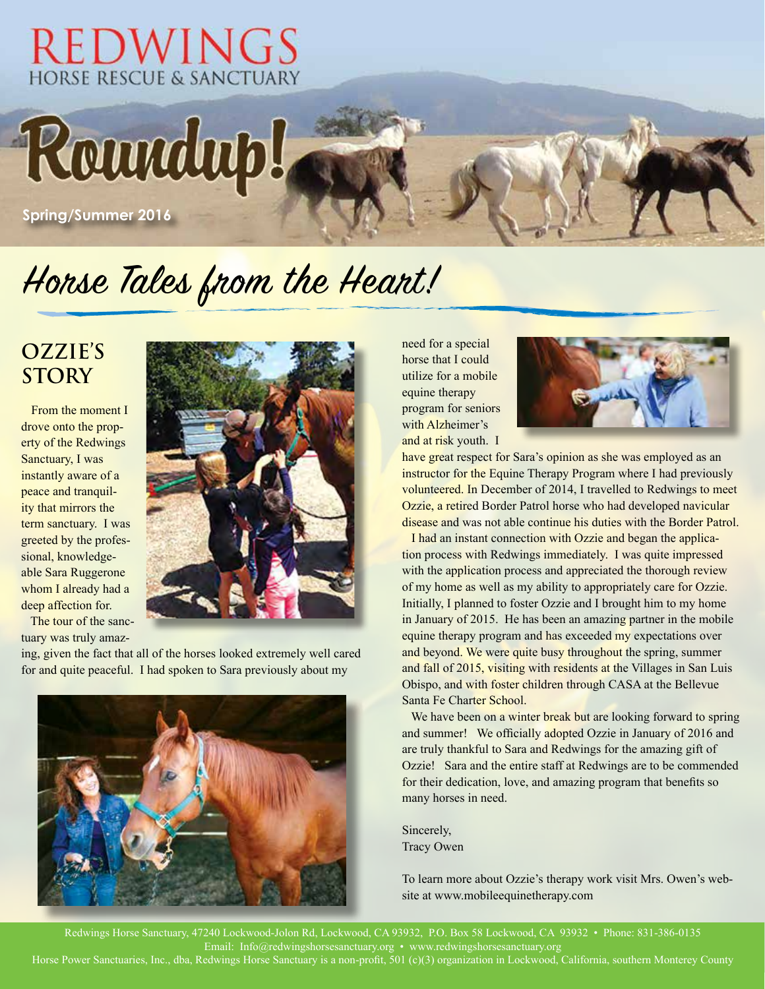### **REDWINGS** HORSE RESCUE & SANCTUARY

Roundup!

**Spring/Summer 2016**

# Horse Tales from the Heart!

#### **Ozzie's Story**

From the moment I drove onto the property of the Redwings Sanctuary, I was instantly aware of a peace and tranquility that mirrors the term sanctuary. I was greeted by the professional, knowledgeable Sara Ruggerone whom I already had a deep affection for.

 The tour of the sanctuary was truly amaz-



ing, given the fact that all of the horses looked extremely well cared for and quite peaceful. I had spoken to Sara previously about my



need for a special horse that I could utilize for a mobile equine therapy program for seniors with Alzheimer's and at risk youth. I



have great respect for Sara's opinion as she was employed as an instructor for the Equine Therapy Program where I had previously volunteered. In December of 2014, I travelled to Redwings to meet Ozzie, a retired Border Patrol horse who had developed navicular disease and was not able continue his duties with the Border Patrol.

 I had an instant connection with Ozzie and began the application process with Redwings immediately. I was quite impressed with the application process and appreciated the thorough review of my home as well as my ability to appropriately care for Ozzie. Initially, I planned to foster Ozzie and I brought him to my home in January of 2015. He has been an amazing partner in the mobile equine therapy program and has exceeded my expectations over and beyond. We were quite busy throughout the spring, summer and fall of 2015, visiting with residents at the Villages in San Luis Obispo, and with foster children through CASA at the Bellevue Santa Fe Charter School.

We have been on a winter break but are looking forward to spring and summer! We officially adopted Ozzie in January of 2016 and are truly thankful to Sara and Redwings for the amazing gift of Ozzie! Sara and the entire staff at Redwings are to be commended for their dedication, love, and amazing program that benefits so many horses in need.

Sincerely, Tracy Owen

To learn more about Ozzie's therapy work visit Mrs. Owen's website at www.mobileequinetherapy.com

Redwings Horse Sanctuary, 47240 Lockwood-Jolon Rd, Lockwood, CA 93932, P.O. Box 58 Lockwood, CA 93932 • Phone: 831-386-0135 Email: Info@redwingshorsesanctuary.org • www.redwingshorsesanctuary.org Horse Power Sanctuaries, Inc., dba, Redwings Horse Sanctuary is a non-profit, 501 (c)(3) organization in Lockwood, California, southern Monterey County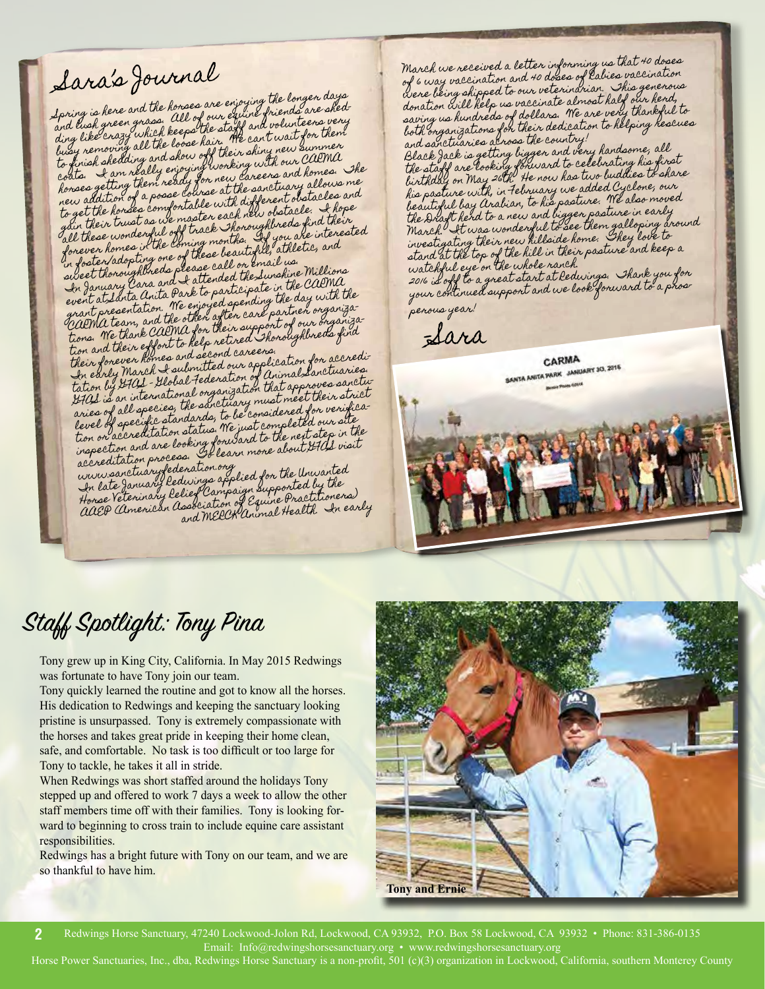## Sara's Journal

Spring is here and the horses are enjoying the longer days foring is here and the honses are enjoying friends are shed-<br>and lush green grass. All of our equine friends are very<br>and lush green which keeps the staff and volunteers very and lush green grass. All of our equino and volunteers very<br>ding like crazy which keeps the staff and volunteers very<br>ding is amound all the loose hair. The can well gummer ina case of a syluhich keeps the stage and wait for them<br>ding like croving all the loose hair. We can't wait for them<br>busy removing all the loose hair their shing new supma busy removing all the coose has their shiny new summer<br>to finish shedding and show off working with our CAPMA<br>coats. I am really enjoying when careers and homes. to finant and neally enjoying working with our domes. The<br>coats. I am ready for new careers and homes. The<br>horses getting them ready for new careculary allows me honses getting them ready for her the sanctuary allows me<br>hew addition of a posse course at the sanctuary allows me<br>to get the honses comfontable with different obstacle. I hope<br>to get the intrust as we master each new clu her use the hondes comfortable with user obstacle. I hope<br>give their trust as we master each new obstacle. I hope<br>give these wonderful off track thoroughbreds find their o giv their trust as we master each new ordereds find their<br>all these wonderful off track Thoroughbreds find therest four these wonderful off track Thorough you are interested<br>forever homes in the coming months. If you are interested<br>b. leater/adopting one of these beautiful, athletic, and in forever homes it the loming montain.<br>Ionever homes it the loming montain that at the call<br>in foster/adoptineds please call or email ws.<br>In January Cara and I attended the Sunshine Millions<br>event at Santa Anita Park to p In our atslanta anita Park to participate the day with the<br>grant presentation. We enjoyed spending the day with the<br>carma team, and the other after care partner organiza tions. We thank CARMA for their support of our organiza-tion and their effort to help retired Thoroughbreds find tion and their equines and second careens.<br>Their forever homes and second careens cation for accredi-<br>In early March I submitted our application is canotic the early March I submitted our appennent Sanctuaries.<br>tation by HAL - Hobal Federation of Animal Sanctuaries.<br>HALL is an international organization that approves sanctuation by a international organization that appen their strict<br>aries of all species, the sanctuary must meet their strict<br>aries of accept catandards, to be considered for versite level of specific standards, to be considered for verifica-tion or accreditation status. We just completed our site

lever of Specialitation status. We just complex with the<br>inspection and are looking forward to the next step in the<br>accreditation process. To learn more about 970sl visit www.sanctuaryfederation.org In late January Redwings applied for the Unwanted

In late January Redurings applied on the day the<br>Horse Veterinary Relief Campaign supported by the AAEP (American Association of Equine Practitioners) and MERCK Animal Health. In early March we received a letter informing us that 40 doses march we received a term of doses of Rabies vaccination<br>of 6 way vaccination and 40 doses of Rabies vaccination of 6 way raccomment our veterindrian. This generous<br>were being shipped to our veterindrian. This generous<br>donation will help us vaccinate almost half our hendy donation will help us inclinate atmost here it thankful to<br>saving us hundreds of dollars. We are very thankful to both organizations for their dedication to helping rescues and sanctuaries across the country! and sanctuaries as was liggen and very handsome, all<br>Black Jack is getting biggen and very handsome, all Black fack is getting biggen and to celebrating his first<br>the staff are looking forward to celebrating his first<br>e. the U ... May 26th the now has two buddies to share the stage are cooking the now has two buddies to share his pasture with, in February we added Cyclone, our beautiful bay Arabian, to his pasture. We also moved beautique bay couring.<br>The Draft herd to a new and bigger positive in early<br>March. It was wonderful to see lange. They love to march. It was wonus fillside home. Shey love to<br>investigating their new hillside home. Shey love to stand at the top of the hill in their pasture and keep a watchful eye on the whole ranch.<br>aw is all to a great start at led watchful eye on the wat start at Redwings. Thank you for<br>2016 is off to a great start at Redwings. Thank you for your continued support and we look forward to a prosperous year!

–Sara

CARMA **CARMA**<br>SANTA ANITA PARK JANUARY 30, 2016

### Staff Spotlight: Tony Pina

Tony grew up in King City, California. In May 2015 Redwings was fortunate to have Tony join our team.

Tony quickly learned the routine and got to know all the horses. His dedication to Redwings and keeping the sanctuary looking pristine is unsurpassed. Tony is extremely compassionate with the horses and takes great pride in keeping their home clean, safe, and comfortable. No task is too difficult or too large for Tony to tackle, he takes it all in stride.

When Redwings was short staffed around the holidays Tony stepped up and offered to work 7 days a week to allow the other staff members time off with their families. Tony is looking forward to beginning to cross train to include equine care assistant responsibilities.

Redwings has a bright future with Tony on our team, and we are so thankful to have him.



Redwings Horse Sanctuary, 47240 Lockwood-Jolon Rd, Lockwood, CA 93932, P.O. Box 58 Lockwood, CA 93932 • Phone: 831-386-0135 Email: Info@redwingshorsesanctuary.org • www.redwingshorsesanctuary.org **2**

Horse Power Sanctuaries, Inc., dba, Redwings Horse Sanctuary is a non-profit, 501 (c)(3) organization in Lockwood, California, southern Monterey County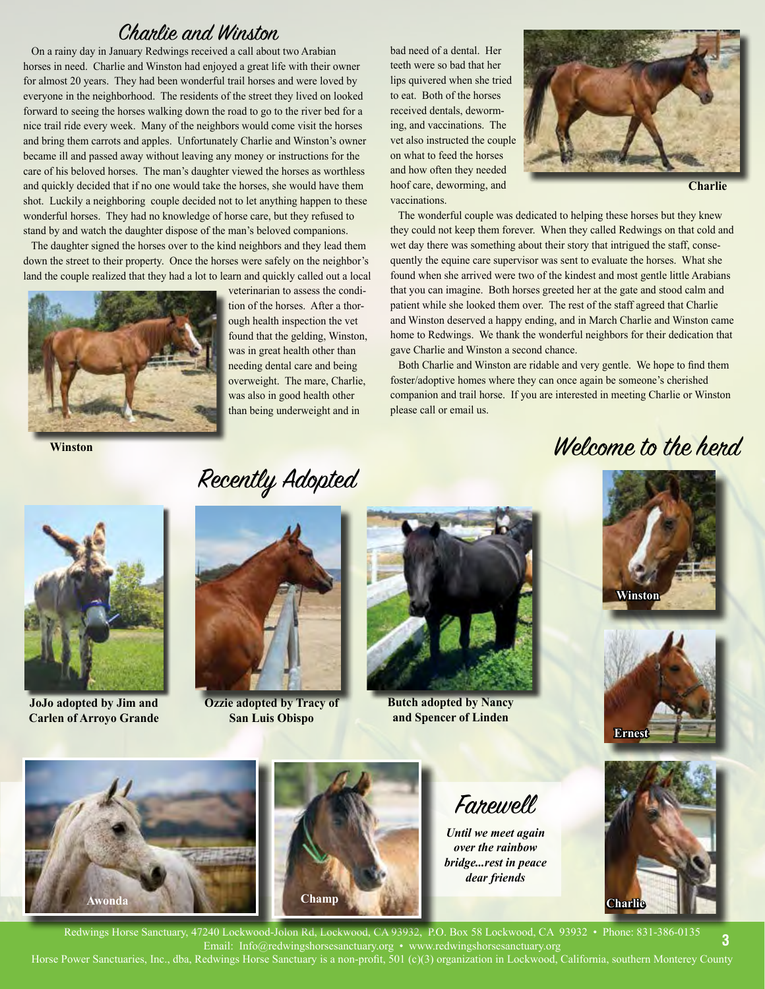#### Charlie and Winston

 On a rainy day in January Redwings received a call about two Arabian horses in need. Charlie and Winston had enjoyed a great life with their owner for almost 20 years. They had been wonderful trail horses and were loved by everyone in the neighborhood. The residents of the street they lived on looked forward to seeing the horses walking down the road to go to the river bed for a nice trail ride every week. Many of the neighbors would come visit the horses and bring them carrots and apples. Unfortunately Charlie and Winston's owner became ill and passed away without leaving any money or instructions for the care of his beloved horses. The man's daughter viewed the horses as worthless and quickly decided that if no one would take the horses, she would have them shot. Luckily a neighboring couple decided not to let anything happen to these wonderful horses. They had no knowledge of horse care, but they refused to stand by and watch the daughter dispose of the man's beloved companions.

 The daughter signed the horses over to the kind neighbors and they lead them down the street to their property. Once the horses were safely on the neighbor's land the couple realized that they had a lot to learn and quickly called out a local



**Winston**

veterinarian to assess the condition of the horses. After a thorough health inspection the vet found that the gelding, Winston, was in great health other than needing dental care and being overweight. The mare, Charlie, was also in good health other than being underweight and in

bad need of a dental. Her teeth were so bad that her lips quivered when she tried to eat. Both of the horses received dentals, deworming, and vaccinations. The vet also instructed the couple on what to feed the horses and how often they needed hoof care, deworming, and vaccinations.



**Charlie**

 The wonderful couple was dedicated to helping these horses but they knew they could not keep them forever. When they called Redwings on that cold and wet day there was something about their story that intrigued the staff, consequently the equine care supervisor was sent to evaluate the horses. What she found when she arrived were two of the kindest and most gentle little Arabians that you can imagine. Both horses greeted her at the gate and stood calm and patient while she looked them over. The rest of the staff agreed that Charlie and Winston deserved a happy ending, and in March Charlie and Winston came home to Redwings. We thank the wonderful neighbors for their dedication that gave Charlie and Winston a second chance.

 Both Charlie and Winston are ridable and very gentle. We hope to find them foster/adoptive homes where they can once again be someone's cherished companion and trail horse. If you are interested in meeting Charlie or Winston please call or email us.

#### Welcome to the hend.



**JoJo adopted by Jim and Carlen of Arroyo Grande**

Recently Adopted



**Ozzie adopted by Tracy of San Luis Obispo**



**Butch adopted by Nancy and Spencer of Linden**









Farewell

*Until we meet again over the rainbow bridge...rest in peace dear friends*



Redwings Horse Sanctuary, 47240 Lockwood-Jolon Rd, Lockwood, CA 93932, P.O. Box 58 Lockwood, CA 93932 • Phone: 831-386-0135 Email: Info@redwingshorsesanctuary.org • www.redwingshorsesanctuary.org Horse Power Sanctuaries, Inc., dba, Redwings Horse Sanctuary is a non-profit, 501 (c)(3) organization in Lockwood, California, southern Monterey County **3**